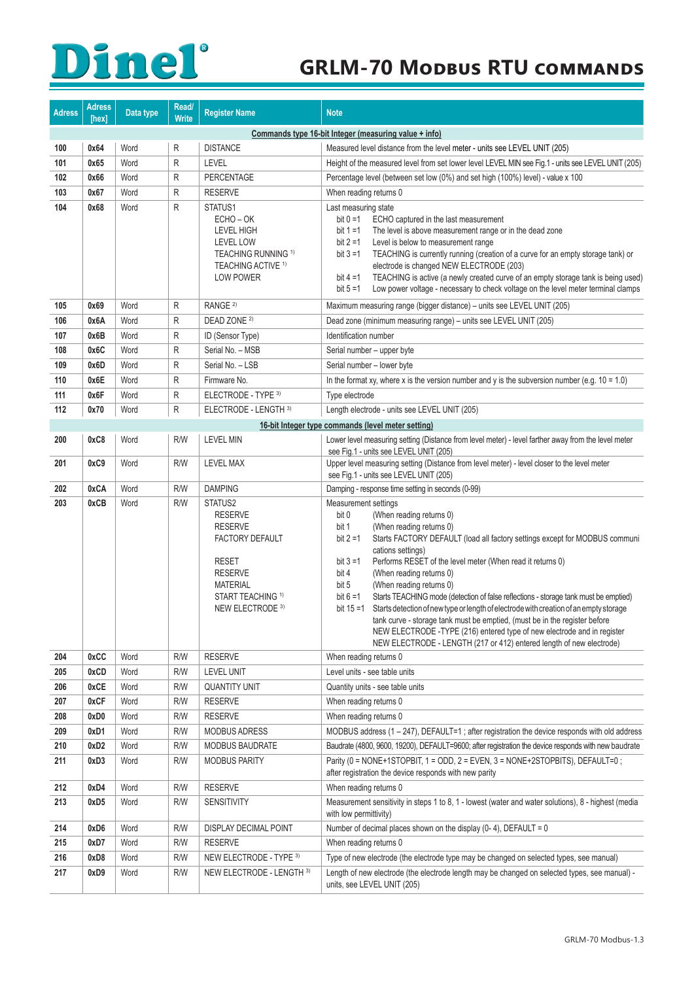## Dinel<sup>®</sup>

## **GRLM-70 Modbus RTU commands**

| <b>Adress</b> | <b>Adress</b><br>[hex] | Data type | Read/<br><b>Write</b> | <b>Register Name</b>                                                                                                                                                    | <b>Note</b>                                                                                                                                                                                                                                                                                                                                                                                                                                                                                                                                                                                                                                                                                                                                                                                                               |
|---------------|------------------------|-----------|-----------------------|-------------------------------------------------------------------------------------------------------------------------------------------------------------------------|---------------------------------------------------------------------------------------------------------------------------------------------------------------------------------------------------------------------------------------------------------------------------------------------------------------------------------------------------------------------------------------------------------------------------------------------------------------------------------------------------------------------------------------------------------------------------------------------------------------------------------------------------------------------------------------------------------------------------------------------------------------------------------------------------------------------------|
|               |                        |           |                       |                                                                                                                                                                         | Commands type 16-bit Integer (measuring value + info)                                                                                                                                                                                                                                                                                                                                                                                                                                                                                                                                                                                                                                                                                                                                                                     |
| 100           | 0x64                   | Word      | R                     | <b>DISTANCE</b>                                                                                                                                                         | Measured level distance from the level meter - units see LEVEL UNIT (205)                                                                                                                                                                                                                                                                                                                                                                                                                                                                                                                                                                                                                                                                                                                                                 |
| 101           | 0x65                   | Word      | R                     | LEVEL                                                                                                                                                                   | Height of the measured level from set lower level LEVEL MIN see Fig.1 - units see LEVEL UNIT (205)                                                                                                                                                                                                                                                                                                                                                                                                                                                                                                                                                                                                                                                                                                                        |
| 102           | 0x66                   | Word      | R                     | PERCENTAGE                                                                                                                                                              | Percentage level (between set low (0%) and set high (100%) level) - value x 100                                                                                                                                                                                                                                                                                                                                                                                                                                                                                                                                                                                                                                                                                                                                           |
| 103           | 0x67                   | Word      | R                     | <b>RESERVE</b>                                                                                                                                                          | When reading returns 0                                                                                                                                                                                                                                                                                                                                                                                                                                                                                                                                                                                                                                                                                                                                                                                                    |
| 104           | 0x68                   | Word      | R                     | STATUS1<br>ECHO-OK<br><b>LEVEL HIGH</b><br><b>LEVEL LOW</b><br>TEACHING RUNNING 1)<br>TEACHING ACTIVE <sup>1)</sup><br><b>LOW POWER</b>                                 | Last measuring state<br>bit $0 = 1$<br>ECHO captured in the last measurement<br>The level is above measurement range or in the dead zone<br>bit $1 = 1$<br>Level is below to measurement range<br>bit $2 = 1$<br>bit $3 = 1$<br>TEACHING is currently running (creation of a curve for an empty storage tank) or<br>electrode is changed NEW ELECTRODE (203)<br>TEACHING is active (a newly created curve of an empty storage tank is being used)<br>bit $4 = 1$<br>Low power voltage - necessary to check voltage on the level meter terminal clamps<br>bit $5 = 1$                                                                                                                                                                                                                                                      |
| 105           | 0x69                   | Word      | R                     | RANGE <sup>2)</sup>                                                                                                                                                     | Maximum measuring range (bigger distance) - units see LEVEL UNIT (205)                                                                                                                                                                                                                                                                                                                                                                                                                                                                                                                                                                                                                                                                                                                                                    |
| 106           | 0x6A                   | Word      | R                     | DEAD ZONE <sup>2)</sup>                                                                                                                                                 | Dead zone (minimum measuring range) - units see LEVEL UNIT (205)                                                                                                                                                                                                                                                                                                                                                                                                                                                                                                                                                                                                                                                                                                                                                          |
| 107           | 0x6B                   | Word      | R                     | ID (Sensor Type)                                                                                                                                                        | Identification number                                                                                                                                                                                                                                                                                                                                                                                                                                                                                                                                                                                                                                                                                                                                                                                                     |
| 108           | 0x6C                   | Word      | R                     | Serial No. - MSB                                                                                                                                                        | Serial number - upper byte                                                                                                                                                                                                                                                                                                                                                                                                                                                                                                                                                                                                                                                                                                                                                                                                |
| 109           | 0x6D                   | Word      | R                     | Serial No. - LSB                                                                                                                                                        | Serial number - lower byte                                                                                                                                                                                                                                                                                                                                                                                                                                                                                                                                                                                                                                                                                                                                                                                                |
| 110           | 0x6E                   | Word      | R                     | Firmware No.                                                                                                                                                            | In the format xy, where x is the version number and y is the subversion number (e.g. $10 = 1.0$ )                                                                                                                                                                                                                                                                                                                                                                                                                                                                                                                                                                                                                                                                                                                         |
| 111           | 0x6F                   | Word      | R                     | ELECTRODE - TYPE 3)                                                                                                                                                     | Type electrode                                                                                                                                                                                                                                                                                                                                                                                                                                                                                                                                                                                                                                                                                                                                                                                                            |
| 112           | 0x70                   | Word      | R                     | ELECTRODE - LENGTH 3)                                                                                                                                                   | Length electrode - units see LEVEL UNIT (205)                                                                                                                                                                                                                                                                                                                                                                                                                                                                                                                                                                                                                                                                                                                                                                             |
|               |                        |           |                       |                                                                                                                                                                         | 16-bit Integer type commands (level meter setting)                                                                                                                                                                                                                                                                                                                                                                                                                                                                                                                                                                                                                                                                                                                                                                        |
| 200           | 0xC8                   | Word      | R/W                   | <b>LEVEL MIN</b>                                                                                                                                                        | Lower level measuring setting (Distance from level meter) - level farther away from the level meter<br>see Fig.1 - units see LEVEL UNIT (205)                                                                                                                                                                                                                                                                                                                                                                                                                                                                                                                                                                                                                                                                             |
| 201           | 0xC9                   | Word      | R/W                   | <b>LEVEL MAX</b>                                                                                                                                                        | Upper level measuring setting (Distance from level meter) - level closer to the level meter<br>see Fig.1 - units see LEVEL UNIT (205)                                                                                                                                                                                                                                                                                                                                                                                                                                                                                                                                                                                                                                                                                     |
| 202           | 0xCA                   | Word      | R/W                   | <b>DAMPING</b>                                                                                                                                                          | Damping - response time setting in seconds (0-99)                                                                                                                                                                                                                                                                                                                                                                                                                                                                                                                                                                                                                                                                                                                                                                         |
| 203           | 0xCB                   | Word      | R/W                   | STATUS2<br><b>RESERVE</b><br><b>RESERVE</b><br>FACTORY DEFAULT<br><b>RESET</b><br><b>RESERVE</b><br><b>MATERIAL</b><br>START TEACHING 1)<br>NEW ELECTRODE <sup>3)</sup> | Measurement settings<br>(When reading returns 0)<br>bit 0<br>bit 1<br>(When reading returns 0)<br>bit $2 = 1$<br>Starts FACTORY DEFAULT (load all factory settings except for MODBUS communi<br>cations settings)<br>Performs RESET of the level meter (When read it returns 0)<br>bit $3 = 1$<br>bit 4<br>(When reading returns 0)<br>(When reading returns 0)<br>bit 5<br>Starts TEACHING mode (detection of false reflections - storage tank must be emptied)<br>bit $6 = 1$<br>Starts detection of new type or length of electrode with creation of an empty storage<br>bit $15 = 1$<br>tank curve - storage tank must be emptied, (must be in the register before<br>NEW ELECTRODE -TYPE (216) entered type of new electrode and in register<br>NEW ELECTRODE - LENGTH (217 or 412) entered length of new electrode) |
| 204           | 0xCC                   | Word      | R/W                   | <b>RESERVE</b>                                                                                                                                                          | When reading returns 0                                                                                                                                                                                                                                                                                                                                                                                                                                                                                                                                                                                                                                                                                                                                                                                                    |
| 205           | 0xCD                   | Word      | R/W                   | <b>LEVEL UNIT</b>                                                                                                                                                       | Level units - see table units                                                                                                                                                                                                                                                                                                                                                                                                                                                                                                                                                                                                                                                                                                                                                                                             |
| 206           | 0xCE                   | Word      | R/W                   | <b>QUANTITY UNIT</b>                                                                                                                                                    | Quantity units - see table units                                                                                                                                                                                                                                                                                                                                                                                                                                                                                                                                                                                                                                                                                                                                                                                          |
| 207           | 0xCF                   | Word      | R/W                   | <b>RESERVE</b>                                                                                                                                                          | When reading returns 0                                                                                                                                                                                                                                                                                                                                                                                                                                                                                                                                                                                                                                                                                                                                                                                                    |
| 208           | 0xD0                   | Word      | R/W                   | <b>RESERVE</b>                                                                                                                                                          | When reading returns 0                                                                                                                                                                                                                                                                                                                                                                                                                                                                                                                                                                                                                                                                                                                                                                                                    |
| 209           | 0xD1                   | Word      | R/W                   | MODBUS ADRESS                                                                                                                                                           | MODBUS address $(1 - 247)$ , DEFAULT=1; after registration the device responds with old address                                                                                                                                                                                                                                                                                                                                                                                                                                                                                                                                                                                                                                                                                                                           |
| 210           | 0xD2                   | Word      | R/W                   | MODBUS BAUDRATE                                                                                                                                                         | Baudrate (4800, 9600, 19200), DEFAULT=9600; after registration the device responds with new baudrate                                                                                                                                                                                                                                                                                                                                                                                                                                                                                                                                                                                                                                                                                                                      |
| 211           | 0xD3                   | Word      | R/W                   | <b>MODBUS PARITY</b>                                                                                                                                                    | Parity (0 = NONE+1STOPBIT, 1 = ODD, 2 = EVEN, 3 = NONE+2STOPBITS), DEFAULT=0;<br>after registration the device responds with new parity                                                                                                                                                                                                                                                                                                                                                                                                                                                                                                                                                                                                                                                                                   |
| 212           | 0xD4                   | Word      | R/W                   | <b>RESERVE</b>                                                                                                                                                          | When reading returns 0                                                                                                                                                                                                                                                                                                                                                                                                                                                                                                                                                                                                                                                                                                                                                                                                    |
| 213           | 0xD5                   | Word      | R/W                   | SENSITIVITY                                                                                                                                                             | Measurement sensitivity in steps 1 to 8, 1 - lowest (water and water solutions), 8 - highest (media<br>with low permittivity)                                                                                                                                                                                                                                                                                                                                                                                                                                                                                                                                                                                                                                                                                             |
| 214           | 0xD6                   | Word      | R/W                   | DISPLAY DECIMAL POINT                                                                                                                                                   | Number of decimal places shown on the display (0-4), DEFAULT = 0                                                                                                                                                                                                                                                                                                                                                                                                                                                                                                                                                                                                                                                                                                                                                          |
| 215           | 0xD7                   | Word      | R/W                   | <b>RESERVE</b>                                                                                                                                                          | When reading returns 0                                                                                                                                                                                                                                                                                                                                                                                                                                                                                                                                                                                                                                                                                                                                                                                                    |
| 216           | 0xD8                   | Word      | R/W                   | NEW ELECTRODE - TYPE 3)                                                                                                                                                 | Type of new electrode (the electrode type may be changed on selected types, see manual)                                                                                                                                                                                                                                                                                                                                                                                                                                                                                                                                                                                                                                                                                                                                   |
| 217           | 0xD9                   | Word      | R/W                   | NEW ELECTRODE - LENGTH 3)                                                                                                                                               | Length of new electrode (the electrode length may be changed on selected types, see manual) -<br>units, see LEVEL UNIT (205)                                                                                                                                                                                                                                                                                                                                                                                                                                                                                                                                                                                                                                                                                              |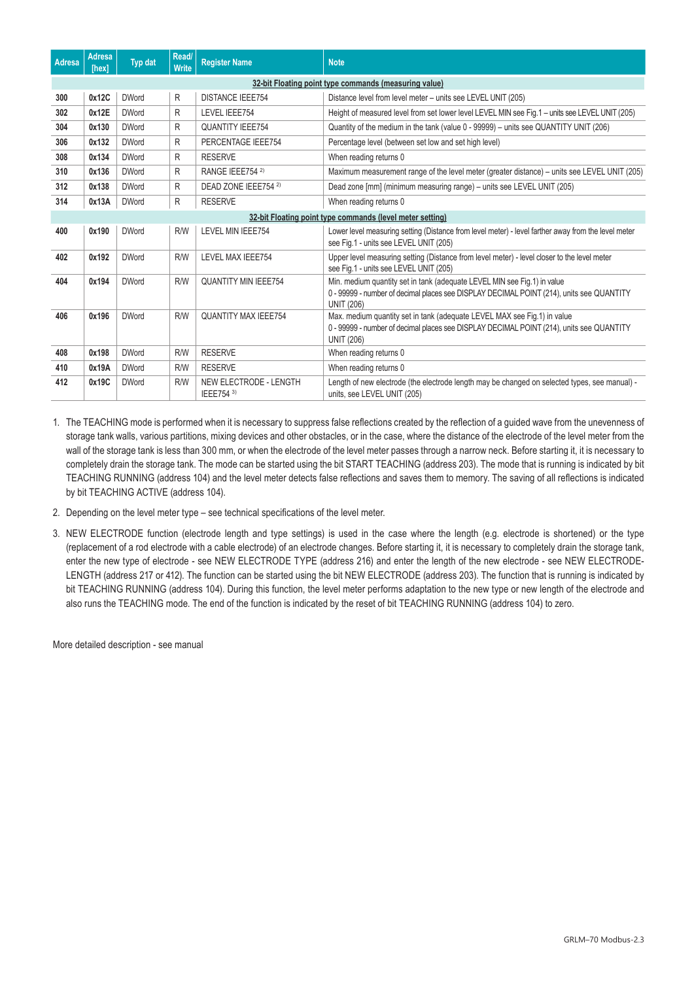| Adresa | <b>Adresa</b><br>[hex]                                | Typ dat      | Read/<br>Write | <b>Register Name</b>                 | <b>Note</b>                                                                                                                                                                               |  |  |  |  |
|--------|-------------------------------------------------------|--------------|----------------|--------------------------------------|-------------------------------------------------------------------------------------------------------------------------------------------------------------------------------------------|--|--|--|--|
|        | 32-bit Floating point type commands (measuring value) |              |                |                                      |                                                                                                                                                                                           |  |  |  |  |
| 300    | 0x12C                                                 | <b>DWord</b> | R              | <b>DISTANCE IEEE754</b>              | Distance level from level meter - units see LEVEL UNIT (205)                                                                                                                              |  |  |  |  |
| 302    | 0x12E                                                 | <b>DWord</b> | R              | LEVEL IEEE754                        | Height of measured level from set lower level LEVEL MIN see Fig.1 - units see LEVEL UNIT (205)                                                                                            |  |  |  |  |
| 304    | 0x130                                                 | <b>DWord</b> | R              | <b>QUANTITY IEEE754</b>              | Quantity of the medium in the tank (value 0 - 99999) – units see QUANTITY UNIT (206)                                                                                                      |  |  |  |  |
| 306    | 0x132                                                 | <b>DWord</b> | R              | PERCENTAGE IEEE754                   | Percentage level (between set low and set high level)                                                                                                                                     |  |  |  |  |
| 308    | 0x134                                                 | <b>DWord</b> | R              | <b>RESERVE</b>                       | When reading returns 0                                                                                                                                                                    |  |  |  |  |
| 310    | 0x136                                                 | <b>DWord</b> | R              | RANGE IEEE754 2)                     | Maximum measurement range of the level meter (greater distance) – units see LEVEL UNIT (205)                                                                                              |  |  |  |  |
| 312    | 0x138                                                 | <b>DWord</b> | R              | DEAD ZONE IEEE754 <sup>2)</sup>      | Dead zone [mm] (minimum measuring range) - units see LEVEL UNIT (205)                                                                                                                     |  |  |  |  |
| 314    | 0x13A                                                 | <b>DWord</b> | R              | <b>RESERVE</b>                       | When reading returns 0                                                                                                                                                                    |  |  |  |  |
|        |                                                       |              |                |                                      | 32-bit Floating point type commands (level meter setting)                                                                                                                                 |  |  |  |  |
| 400    | 0x190                                                 | <b>DWord</b> | <b>R/W</b>     | LEVEL MIN IEEE754                    | Lower level measuring setting (Distance from level meter) - level farther away from the level meter<br>see Fig.1 - units see LEVEL UNIT (205)                                             |  |  |  |  |
| 402    | 0x192                                                 | <b>DWord</b> | <b>R/W</b>     | LEVEL MAX IEEE754                    | Upper level measuring setting (Distance from level meter) - level closer to the level meter<br>see Fig.1 - units see LEVEL UNIT (205)                                                     |  |  |  |  |
| 404    | 0x194                                                 | <b>DWord</b> | <b>R/W</b>     | <b>QUANTITY MIN IEEE754</b>          | Min. medium quantity set in tank (adequate LEVEL MIN see Fig.1) in value<br>0 - 99999 - number of decimal places see DISPLAY DECIMAL POINT (214), units see QUANTITY<br><b>UNIT (206)</b> |  |  |  |  |
| 406    | 0x196                                                 | <b>DWord</b> | <b>R/W</b>     | <b>QUANTITY MAX IEEE754</b>          | Max. medium quantity set in tank (adequate LEVEL MAX see Fig.1) in value<br>0 - 99999 - number of decimal places see DISPLAY DECIMAL POINT (214), units see QUANTITY<br><b>UNIT (206)</b> |  |  |  |  |
| 408    | 0x198                                                 | <b>DWord</b> | <b>R/W</b>     | <b>RESERVE</b>                       | When reading returns 0                                                                                                                                                                    |  |  |  |  |
| 410    | 0x19A                                                 | <b>DWord</b> | <b>R/W</b>     | <b>RESERVE</b>                       | When reading returns 0                                                                                                                                                                    |  |  |  |  |
| 412    | 0x19C                                                 | <b>DWord</b> | <b>R/W</b>     | NEW ELECTRODE - LENGTH<br>IEEE754 3) | Length of new electrode (the electrode length may be changed on selected types, see manual) -<br>units, see LEVEL UNIT (205)                                                              |  |  |  |  |

- 1. The TEACHING mode is performed when it is necessary to suppress false reflections created by the reflection of a guided wave from the unevenness of storage tank walls, various partitions, mixing devices and other obstacles, or in the case, where the distance of the electrode of the level meter from the wall of the storage tank is less than 300 mm, or when the electrode of the level meter passes through a narrow neck. Before starting it, it is necessary to completely drain the storage tank. The mode can be started using the bit START TEACHING (address 203). The mode that is running is indicated by bit TEACHING RUNNING (address 104) and the level meter detects false reflections and saves them to memory. The saving of all reflections is indicated by bit TEACHING ACTIVE (address 104).
- 2. Depending on the level meter type see technical specifications of the level meter.
- 3. NEW ELECTRODE function (electrode length and type settings) is used in the case where the length (e.g. electrode is shortened) or the type (replacement of a rod electrode with a cable electrode) of an electrode changes. Before starting it, it is necessary to completely drain the storage tank, enter the new type of electrode - see NEW ELECTRODE TYPE (address 216) and enter the length of the new electrode - see NEW ELECTRODE-LENGTH (address 217 or 412). The function can be started using the bit NEW ELECTRODE (address 203). The function that is running is indicated by bit TEACHING RUNNING (address 104). During this function, the level meter performs adaptation to the new type or new length of the electrode and also runs the TEACHING mode. The end of the function is indicated by the reset of bit TEACHING RUNNING (address 104) to zero.

More detailed description - see manual